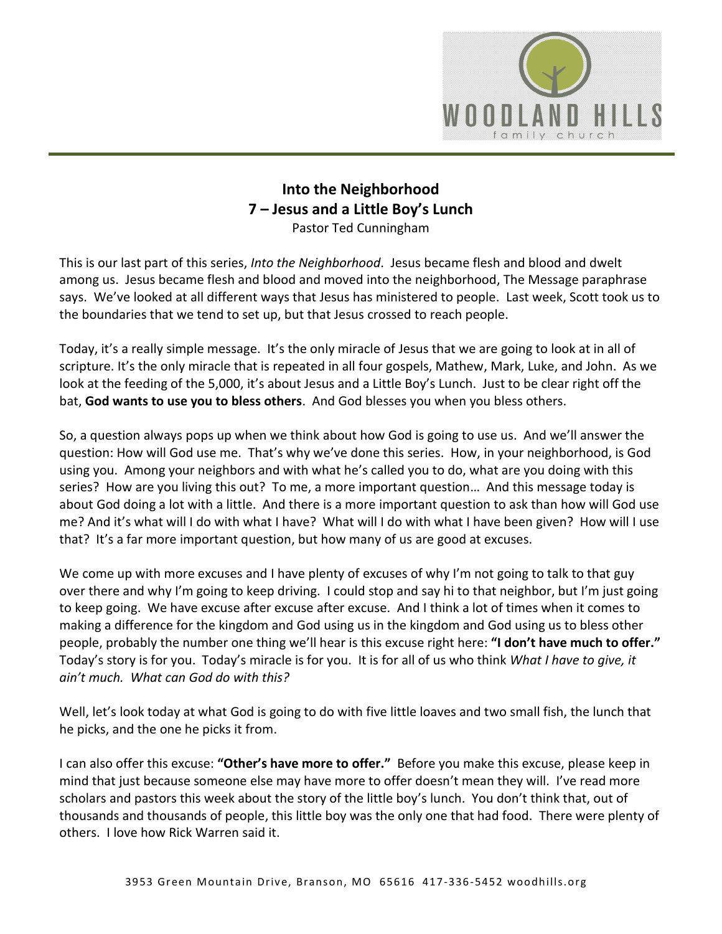

## **Into the Neighborhood 7 – Jesus and a Little Boy's Lunch** Pastor Ted Cunningham

This is our last part of this series, *Into the Neighborhood*. Jesus became flesh and blood and dwelt among us. Jesus became flesh and blood and moved into the neighborhood, The Message paraphrase says. We've looked at all different ways that Jesus has ministered to people. Last week, Scott took us to the boundaries that we tend to set up, but that Jesus crossed to reach people.

Today, it's a really simple message. It's the only miracle of Jesus that we are going to look at in all of scripture. It's the only miracle that is repeated in all four gospels, Mathew, Mark, Luke, and John. As we look at the feeding of the 5,000, it's about Jesus and a Little Boy's Lunch. Just to be clear right off the bat, **God wants to use you to bless others**. And God blesses you when you bless others.

So, a question always pops up when we think about how God is going to use us. And we'll answer the question: How will God use me. That's why we've done this series. How, in your neighborhood, is God using you. Among your neighbors and with what he's called you to do, what are you doing with this series? How are you living this out? To me, a more important question… And this message today is about God doing a lot with a little. And there is a more important question to ask than how will God use me? And it's what will I do with what I have? What will I do with what I have been given? How will I use that? It's a far more important question, but how many of us are good at excuses.

We come up with more excuses and I have plenty of excuses of why I'm not going to talk to that guy over there and why I'm going to keep driving. I could stop and say hi to that neighbor, but I'm just going to keep going. We have excuse after excuse after excuse. And I think a lot of times when it comes to making a difference for the kingdom and God using us in the kingdom and God using us to bless other people, probably the number one thing we'll hear is this excuse right here: **"I don't have much to offer."** Today's story is for you. Today's miracle is for you. It is for all of us who think *What I have to give, it ain't much. What can God do with this?*

Well, let's look today at what God is going to do with five little loaves and two small fish, the lunch that he picks, and the one he picks it from.

I can also offer this excuse: **"Other's have more to offer."** Before you make this excuse, please keep in mind that just because someone else may have more to offer doesn't mean they will. I've read more scholars and pastors this week about the story of the little boy's lunch. You don't think that, out of thousands and thousands of people, this little boy was the only one that had food. There were plenty of others. I love how Rick Warren said it.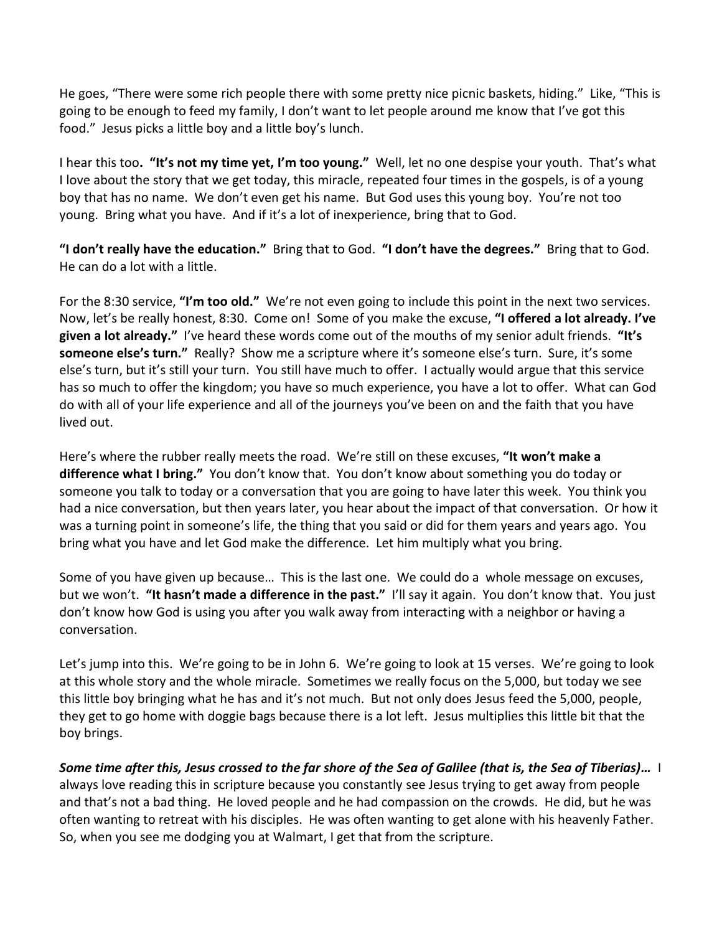He goes, "There were some rich people there with some pretty nice picnic baskets, hiding." Like, "This is going to be enough to feed my family, I don't want to let people around me know that I've got this food." Jesus picks a little boy and a little boy's lunch.

I hear this too**. "It's not my time yet, I'm too young."** Well, let no one despise your youth. That's what I love about the story that we get today, this miracle, repeated four times in the gospels, is of a young boy that has no name. We don't even get his name. But God uses this young boy. You're not too young. Bring what you have. And if it's a lot of inexperience, bring that to God.

**"I don't really have the education."** Bring that to God. **"I don't have the degrees."** Bring that to God. He can do a lot with a little.

For the 8:30 service, **"I'm too old."** We're not even going to include this point in the next two services. Now, let's be really honest, 8:30. Come on! Some of you make the excuse, **"I offered a lot already. I've given a lot already."** I've heard these words come out of the mouths of my senior adult friends. **"It's someone else's turn."** Really? Show me a scripture where it's someone else's turn. Sure, it's some else's turn, but it's still your turn. You still have much to offer. I actually would argue that this service has so much to offer the kingdom; you have so much experience, you have a lot to offer. What can God do with all of your life experience and all of the journeys you've been on and the faith that you have lived out.

Here's where the rubber really meets the road. We're still on these excuses, **"It won't make a difference what I bring."** You don't know that. You don't know about something you do today or someone you talk to today or a conversation that you are going to have later this week. You think you had a nice conversation, but then years later, you hear about the impact of that conversation. Or how it was a turning point in someone's life, the thing that you said or did for them years and years ago. You bring what you have and let God make the difference. Let him multiply what you bring.

Some of you have given up because… This is the last one. We could do a whole message on excuses, but we won't. **"It hasn't made a difference in the past."** I'll say it again. You don't know that. You just don't know how God is using you after you walk away from interacting with a neighbor or having a conversation.

Let's jump into this. We're going to be in John 6. We're going to look at 15 verses. We're going to look at this whole story and the whole miracle. Sometimes we really focus on the 5,000, but today we see this little boy bringing what he has and it's not much. But not only does Jesus feed the 5,000, people, they get to go home with doggie bags because there is a lot left. Jesus multiplies this little bit that the boy brings.

*Some time after this, Jesus crossed to the far shore of the Sea of Galilee (that is, the Sea of Tiberias)…* I always love reading this in scripture because you constantly see Jesus trying to get away from people and that's not a bad thing. He loved people and he had compassion on the crowds. He did, but he was often wanting to retreat with his disciples. He was often wanting to get alone with his heavenly Father. So, when you see me dodging you at Walmart, I get that from the scripture.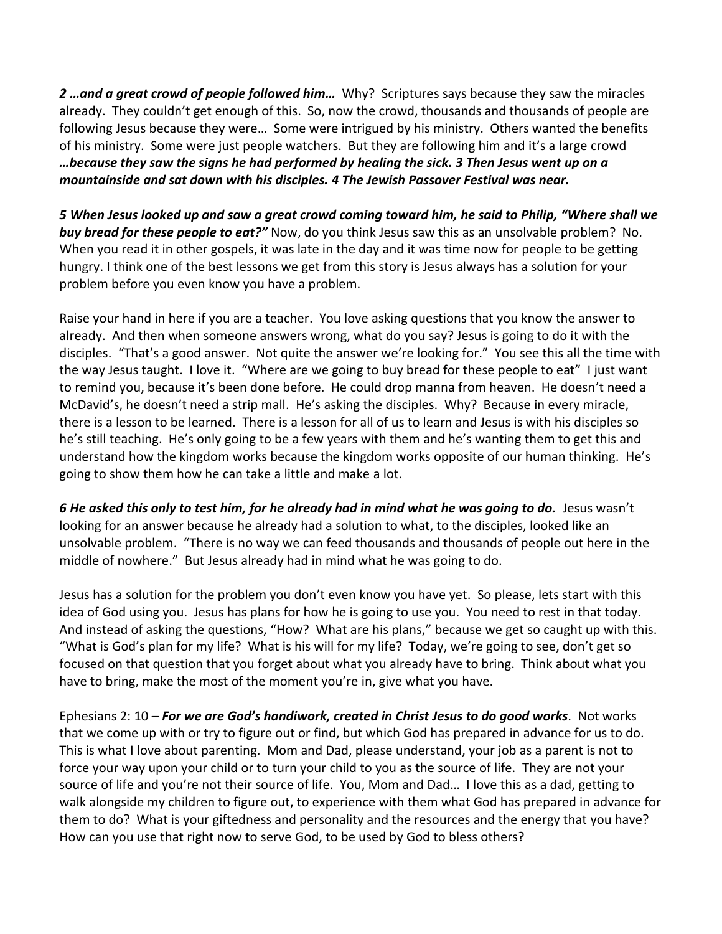*2 …and a great crowd of people followed him…* Why? Scriptures says because they saw the miracles already. They couldn't get enough of this. So, now the crowd, thousands and thousands of people are following Jesus because they were… Some were intrigued by his ministry. Others wanted the benefits of his ministry. Some were just people watchers. But they are following him and it's a large crowd *…because they saw the signs he had performed by healing the sick. 3 Then Jesus went up on a mountainside and sat down with his disciples. 4 The Jewish Passover Festival was near.*

*5 When Jesus looked up and saw a great crowd coming toward him, he said to Philip, "Where shall we buy bread for these people to eat?"* Now, do you think Jesus saw this as an unsolvable problem? No. When you read it in other gospels, it was late in the day and it was time now for people to be getting hungry. I think one of the best lessons we get from this story is Jesus always has a solution for your problem before you even know you have a problem.

Raise your hand in here if you are a teacher. You love asking questions that you know the answer to already. And then when someone answers wrong, what do you say? Jesus is going to do it with the disciples. "That's a good answer. Not quite the answer we're looking for." You see this all the time with the way Jesus taught. I love it. "Where are we going to buy bread for these people to eat" I just want to remind you, because it's been done before. He could drop manna from heaven. He doesn't need a McDavid's, he doesn't need a strip mall. He's asking the disciples. Why? Because in every miracle, there is a lesson to be learned. There is a lesson for all of us to learn and Jesus is with his disciples so he's still teaching. He's only going to be a few years with them and he's wanting them to get this and understand how the kingdom works because the kingdom works opposite of our human thinking. He's going to show them how he can take a little and make a lot.

*6 He asked this only to test him, for he already had in mind what he was going to do.* Jesus wasn't looking for an answer because he already had a solution to what, to the disciples, looked like an unsolvable problem. "There is no way we can feed thousands and thousands of people out here in the middle of nowhere." But Jesus already had in mind what he was going to do.

Jesus has a solution for the problem you don't even know you have yet. So please, lets start with this idea of God using you. Jesus has plans for how he is going to use you. You need to rest in that today. And instead of asking the questions, "How? What are his plans," because we get so caught up with this. "What is God's plan for my life? What is his will for my life? Today, we're going to see, don't get so focused on that question that you forget about what you already have to bring. Think about what you have to bring, make the most of the moment you're in, give what you have.

Ephesians 2: 10 – *For we are God's handiwork, created in Christ Jesus to do good works*.Not works that we come up with or try to figure out or find, but which God has prepared in advance for us to do. This is what I love about parenting. Mom and Dad, please understand, your job as a parent is not to force your way upon your child or to turn your child to you as the source of life. They are not your source of life and you're not their source of life. You, Mom and Dad… I love this as a dad, getting to walk alongside my children to figure out, to experience with them what God has prepared in advance for them to do? What is your giftedness and personality and the resources and the energy that you have? How can you use that right now to serve God, to be used by God to bless others?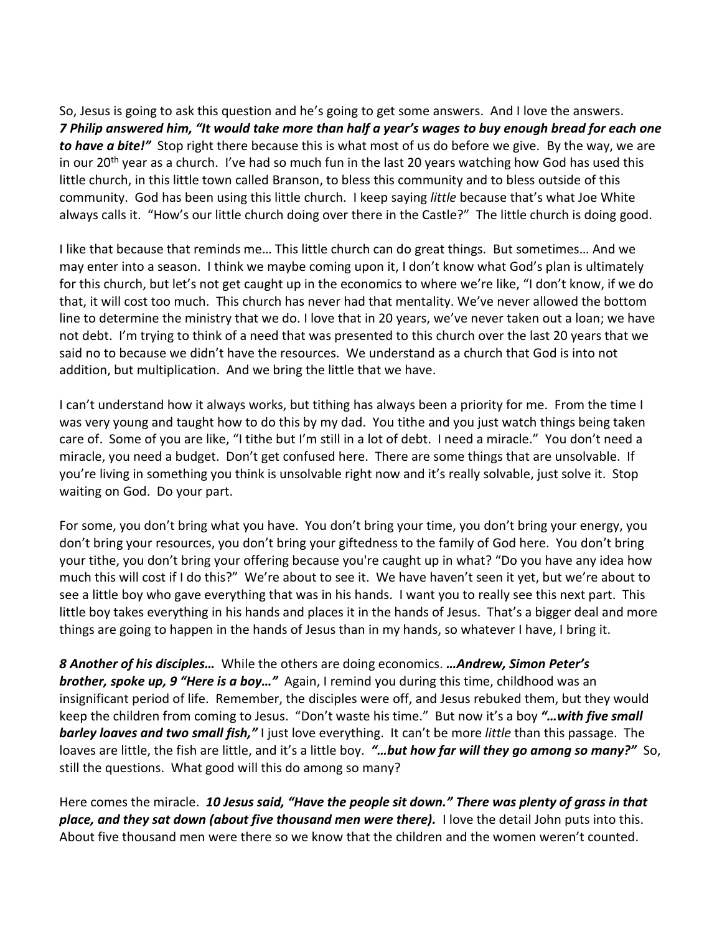So, Jesus is going to ask this question and he's going to get some answers. And I love the answers. *7 Philip answered him, "It would take more than half a year's wages to buy enough bread for each one to have a bite!"* Stop right there because this is what most of us do before we give. By the way, we are in our 20<sup>th</sup> year as a church. I've had so much fun in the last 20 years watching how God has used this little church, in this little town called Branson, to bless this community and to bless outside of this community. God has been using this little church. I keep saying *little* because that's what Joe White always calls it. "How's our little church doing over there in the Castle?" The little church is doing good.

I like that because that reminds me… This little church can do great things. But sometimes… And we may enter into a season. I think we maybe coming upon it, I don't know what God's plan is ultimately for this church, but let's not get caught up in the economics to where we're like, "I don't know, if we do that, it will cost too much. This church has never had that mentality. We've never allowed the bottom line to determine the ministry that we do. I love that in 20 years, we've never taken out a loan; we have not debt. I'm trying to think of a need that was presented to this church over the last 20 years that we said no to because we didn't have the resources. We understand as a church that God is into not addition, but multiplication. And we bring the little that we have.

I can't understand how it always works, but tithing has always been a priority for me. From the time I was very young and taught how to do this by my dad. You tithe and you just watch things being taken care of. Some of you are like, "I tithe but I'm still in a lot of debt. I need a miracle." You don't need a miracle, you need a budget. Don't get confused here. There are some things that are unsolvable. If you're living in something you think is unsolvable right now and it's really solvable, just solve it. Stop waiting on God. Do your part.

For some, you don't bring what you have. You don't bring your time, you don't bring your energy, you don't bring your resources, you don't bring your giftedness to the family of God here. You don't bring your tithe, you don't bring your offering because you're caught up in what? "Do you have any idea how much this will cost if I do this?" We're about to see it. We have haven't seen it yet, but we're about to see a little boy who gave everything that was in his hands. I want you to really see this next part. This little boy takes everything in his hands and places it in the hands of Jesus. That's a bigger deal and more things are going to happen in the hands of Jesus than in my hands, so whatever I have, I bring it.

*8 Another of his disciples…* While the others are doing economics. *…Andrew, Simon Peter's brother, spoke up, 9 "Here is a boy…"* Again, I remind you during this time, childhood was an insignificant period of life. Remember, the disciples were off, and Jesus rebuked them, but they would keep the children from coming to Jesus. "Don't waste his time." But now it's a boy *"…with five small barley loaves and two small fish,"* I just love everything. It can't be more *little* than this passage. The loaves are little, the fish are little, and it's a little boy. *"…but how far will they go among so many?"* So, still the questions. What good will this do among so many?

Here comes the miracle. *10 Jesus said, "Have the people sit down." There was plenty of grass in that place, and they sat down (about five thousand men were there).* I love the detail John puts into this. About five thousand men were there so we know that the children and the women weren't counted.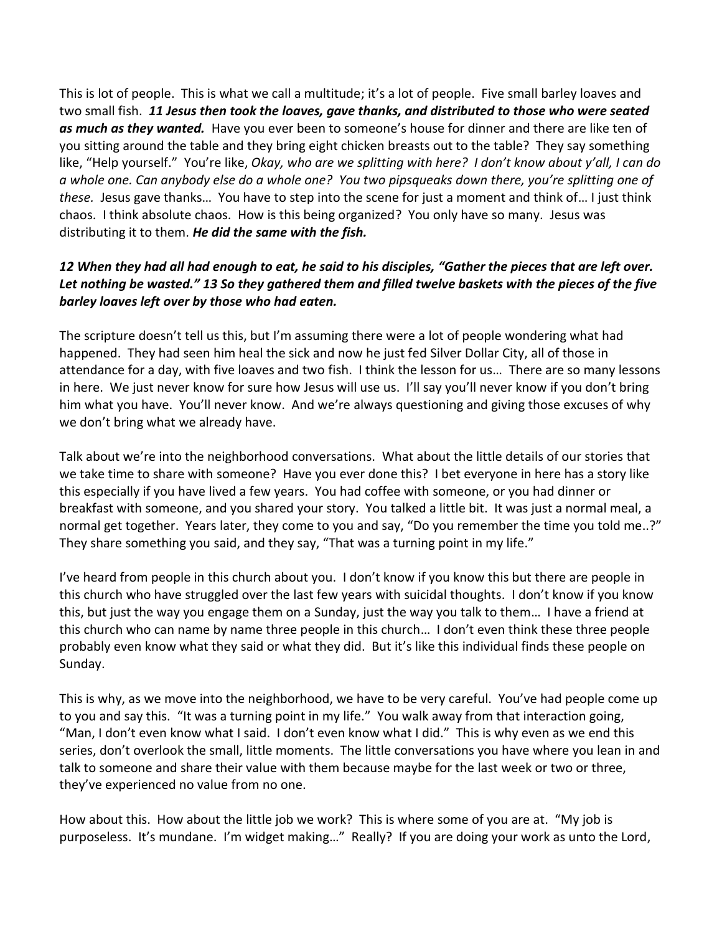This is lot of people. This is what we call a multitude; it's a lot of people. Five small barley loaves and two small fish. *11 Jesus then took the loaves, gave thanks, and distributed to those who were seated as much as they wanted.* Have you ever been to someone's house for dinner and there are like ten of you sitting around the table and they bring eight chicken breasts out to the table? They say something like, "Help yourself." You're like, *Okay, who are we splitting with here? I don't know about y'all, I can do a whole one. Can anybody else do a whole one? You two pipsqueaks down there, you're splitting one of these.* Jesus gave thanks… You have to step into the scene for just a moment and think of… I just think chaos. I think absolute chaos. How is this being organized? You only have so many. Jesus was distributing it to them. *He did the same with the fish.*

## *12 When they had all had enough to eat, he said to his disciples, "Gather the pieces that are left over. Let nothing be wasted." 13 So they gathered them and filled twelve baskets with the pieces of the five barley loaves left over by those who had eaten.*

The scripture doesn't tell us this, but I'm assuming there were a lot of people wondering what had happened. They had seen him heal the sick and now he just fed Silver Dollar City, all of those in attendance for a day, with five loaves and two fish. I think the lesson for us… There are so many lessons in here. We just never know for sure how Jesus will use us. I'll say you'll never know if you don't bring him what you have. You'll never know. And we're always questioning and giving those excuses of why we don't bring what we already have.

Talk about we're into the neighborhood conversations. What about the little details of our stories that we take time to share with someone? Have you ever done this? I bet everyone in here has a story like this especially if you have lived a few years. You had coffee with someone, or you had dinner or breakfast with someone, and you shared your story. You talked a little bit. It was just a normal meal, a normal get together. Years later, they come to you and say, "Do you remember the time you told me..?" They share something you said, and they say, "That was a turning point in my life."

I've heard from people in this church about you. I don't know if you know this but there are people in this church who have struggled over the last few years with suicidal thoughts. I don't know if you know this, but just the way you engage them on a Sunday, just the way you talk to them… I have a friend at this church who can name by name three people in this church… I don't even think these three people probably even know what they said or what they did. But it's like this individual finds these people on Sunday.

This is why, as we move into the neighborhood, we have to be very careful. You've had people come up to you and say this. "It was a turning point in my life." You walk away from that interaction going, "Man, I don't even know what I said. I don't even know what I did." This is why even as we end this series, don't overlook the small, little moments. The little conversations you have where you lean in and talk to someone and share their value with them because maybe for the last week or two or three, they've experienced no value from no one.

How about this. How about the little job we work? This is where some of you are at. "My job is purposeless. It's mundane. I'm widget making…" Really? If you are doing your work as unto the Lord,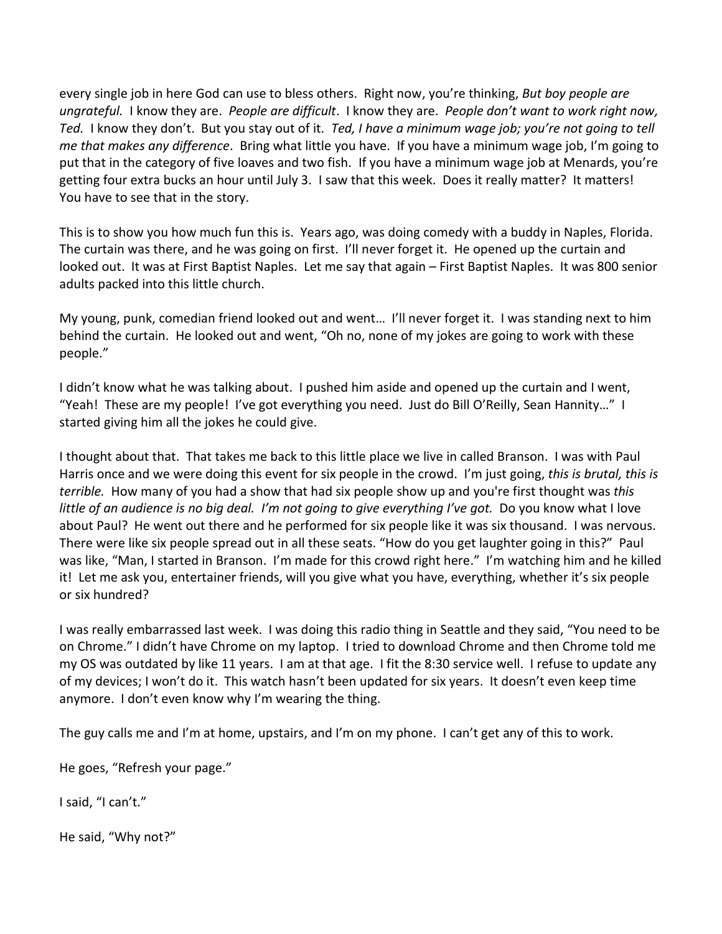every single job in here God can use to bless others. Right now, you're thinking, *But boy people are ungrateful.* I know they are. *People are difficult*. I know they are. *People don't want to work right now, Ted.* I know they don't. But you stay out of it. *Ted, I have a minimum wage job; you're not going to tell me that makes any difference*. Bring what little you have. If you have a minimum wage job, I'm going to put that in the category of five loaves and two fish. If you have a minimum wage job at Menards, you're getting four extra bucks an hour until July 3. I saw that this week. Does it really matter? It matters! You have to see that in the story.

This is to show you how much fun this is. Years ago, was doing comedy with a buddy in Naples, Florida. The curtain was there, and he was going on first. I'll never forget it. He opened up the curtain and looked out. It was at First Baptist Naples. Let me say that again – First Baptist Naples. It was 800 senior adults packed into this little church.

My young, punk, comedian friend looked out and went… I'll never forget it. I was standing next to him behind the curtain. He looked out and went, "Oh no, none of my jokes are going to work with these people."

I didn't know what he was talking about. I pushed him aside and opened up the curtain and I went, "Yeah! These are my people! I've got everything you need. Just do Bill O'Reilly, Sean Hannity…" I started giving him all the jokes he could give.

I thought about that. That takes me back to this little place we live in called Branson. I was with Paul Harris once and we were doing this event for six people in the crowd. I'm just going, *this is brutal, this is terrible.* How many of you had a show that had six people show up and you're first thought was *this little of an audience is no big deal. I'm not going to give everything I've got.* Do you know what I love about Paul? He went out there and he performed for six people like it was six thousand. I was nervous. There were like six people spread out in all these seats. "How do you get laughter going in this?" Paul was like, "Man, I started in Branson. I'm made for this crowd right here." I'm watching him and he killed it! Let me ask you, entertainer friends, will you give what you have, everything, whether it's six people or six hundred?

I was really embarrassed last week. I was doing this radio thing in Seattle and they said, "You need to be on Chrome." I didn't have Chrome on my laptop. I tried to download Chrome and then Chrome told me my OS was outdated by like 11 years. I am at that age. I fit the 8:30 service well. I refuse to update any of my devices; I won't do it. This watch hasn't been updated for six years. It doesn't even keep time anymore. I don't even know why I'm wearing the thing.

The guy calls me and I'm at home, upstairs, and I'm on my phone. I can't get any of this to work.

He goes, "Refresh your page."

I said, "I can't."

He said, "Why not?"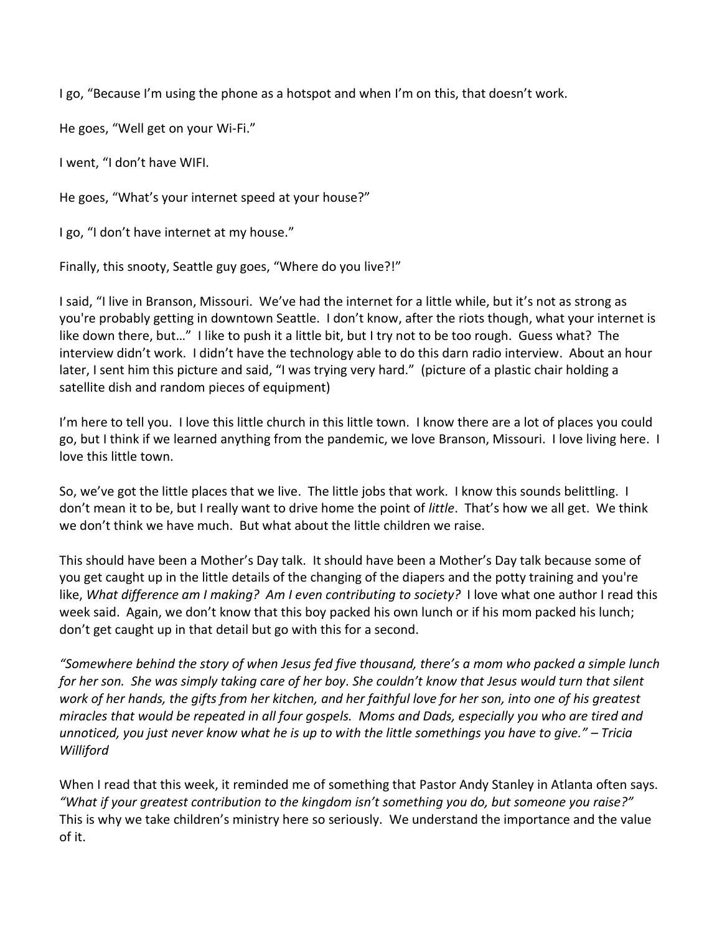I go, "Because I'm using the phone as a hotspot and when I'm on this, that doesn't work.

He goes, "Well get on your Wi-Fi."

I went, "I don't have WIFI.

He goes, "What's your internet speed at your house?"

I go, "I don't have internet at my house."

Finally, this snooty, Seattle guy goes, "Where do you live?!"

I said, "I live in Branson, Missouri. We've had the internet for a little while, but it's not as strong as you're probably getting in downtown Seattle. I don't know, after the riots though, what your internet is like down there, but…" I like to push it a little bit, but I try not to be too rough. Guess what? The interview didn't work. I didn't have the technology able to do this darn radio interview. About an hour later, I sent him this picture and said, "I was trying very hard." (picture of a plastic chair holding a satellite dish and random pieces of equipment)

I'm here to tell you. I love this little church in this little town. I know there are a lot of places you could go, but I think if we learned anything from the pandemic, we love Branson, Missouri. I love living here. I love this little town.

So, we've got the little places that we live. The little jobs that work. I know this sounds belittling. I don't mean it to be, but I really want to drive home the point of *little*. That's how we all get. We think we don't think we have much. But what about the little children we raise.

This should have been a Mother's Day talk. It should have been a Mother's Day talk because some of you get caught up in the little details of the changing of the diapers and the potty training and you're like, *What difference am I making? Am I even contributing to society?* I love what one author I read this week said. Again, we don't know that this boy packed his own lunch or if his mom packed his lunch; don't get caught up in that detail but go with this for a second.

*"Somewhere behind the story of when Jesus fed five thousand, there's a mom who packed a simple lunch for her son. She was simply taking care of her boy. She couldn't know that Jesus would turn that silent work of her hands, the gifts from her kitchen, and her faithful love for her son, into one of his greatest miracles that would be repeated in all four gospels. Moms and Dads, especially you who are tired and unnoticed, you just never know what he is up to with the little somethings you have to give." – Tricia Williford* 

When I read that this week, it reminded me of something that Pastor Andy Stanley in Atlanta often says. *"What if your greatest contribution to the kingdom isn't something you do, but someone you raise?"* This is why we take children's ministry here so seriously. We understand the importance and the value of it.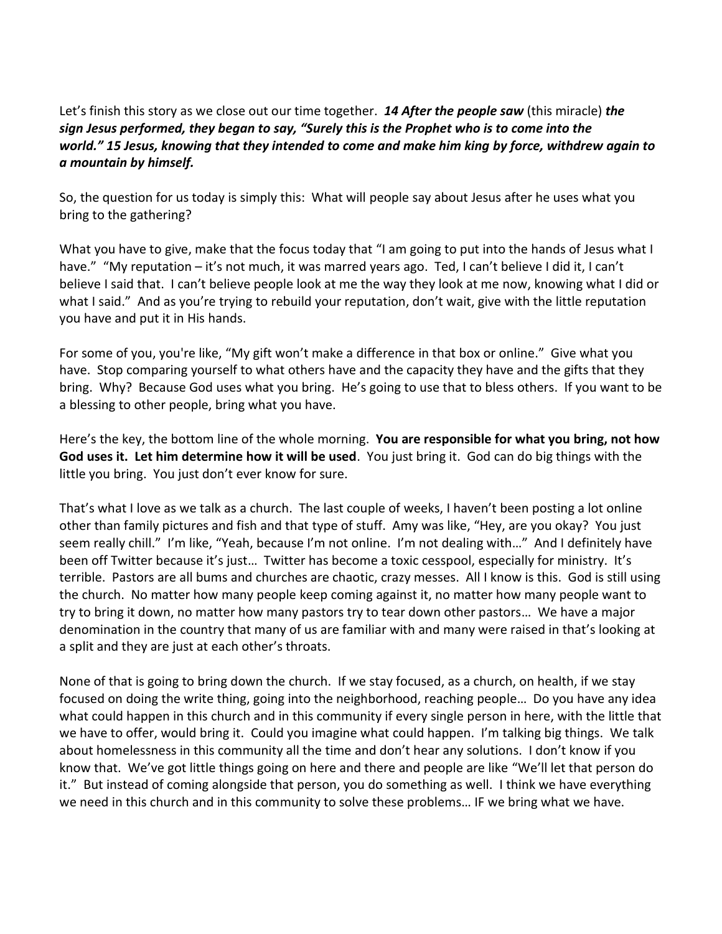Let's finish this story as we close out our time together. *14 After the people saw* (this miracle) *the sign Jesus performed, they began to say, "Surely this is the Prophet who is to come into the world." 15 Jesus, knowing that they intended to come and make him king by force, withdrew again to a mountain by himself.*

So, the question for us today is simply this: What will people say about Jesus after he uses what you bring to the gathering?

What you have to give, make that the focus today that "I am going to put into the hands of Jesus what I have." "My reputation – it's not much, it was marred years ago. Ted, I can't believe I did it, I can't believe I said that. I can't believe people look at me the way they look at me now, knowing what I did or what I said." And as you're trying to rebuild your reputation, don't wait, give with the little reputation you have and put it in His hands.

For some of you, you're like, "My gift won't make a difference in that box or online." Give what you have. Stop comparing yourself to what others have and the capacity they have and the gifts that they bring. Why? Because God uses what you bring. He's going to use that to bless others. If you want to be a blessing to other people, bring what you have.

Here's the key, the bottom line of the whole morning. **You are responsible for what you bring, not how God uses it. Let him determine how it will be used**. You just bring it. God can do big things with the little you bring. You just don't ever know for sure.

That's what I love as we talk as a church. The last couple of weeks, I haven't been posting a lot online other than family pictures and fish and that type of stuff. Amy was like, "Hey, are you okay? You just seem really chill." I'm like, "Yeah, because I'm not online. I'm not dealing with…" And I definitely have been off Twitter because it's just… Twitter has become a toxic cesspool, especially for ministry. It's terrible. Pastors are all bums and churches are chaotic, crazy messes. All I know is this. God is still using the church. No matter how many people keep coming against it, no matter how many people want to try to bring it down, no matter how many pastors try to tear down other pastors… We have a major denomination in the country that many of us are familiar with and many were raised in that's looking at a split and they are just at each other's throats.

None of that is going to bring down the church. If we stay focused, as a church, on health, if we stay focused on doing the write thing, going into the neighborhood, reaching people… Do you have any idea what could happen in this church and in this community if every single person in here, with the little that we have to offer, would bring it. Could you imagine what could happen. I'm talking big things. We talk about homelessness in this community all the time and don't hear any solutions. I don't know if you know that. We've got little things going on here and there and people are like "We'll let that person do it." But instead of coming alongside that person, you do something as well. I think we have everything we need in this church and in this community to solve these problems… IF we bring what we have.